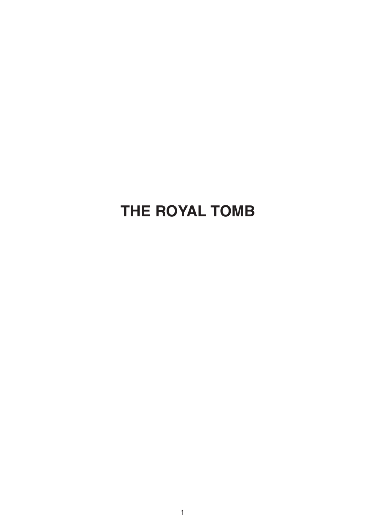## **THE ROYAL TOMB**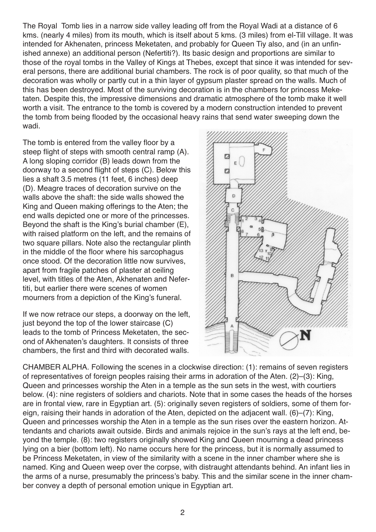The Royal Tomb lies in a narrow side valley leading off from the Royal Wadi at a distance of 6 kms. (nearly 4 miles) from its mouth, which is itself about 5 kms. (3 miles) from el-Till village. It was intended for Akhenaten, princess Meketaten, and probably for Queen Tiy also, and (in an unfinished annexe) an additional person (Nefertiti?). Its basic design and proportions are similar to those of the royal tombs in the Valley of Kings at Thebes, except that since it was intended for several persons, there are additional burial chambers. The rock is of poor quality, so that much of the decoration was wholly or partly cut in a thin layer of gypsum plaster spread on the walls. Much of this has been destroyed. Most of the surviving decoration is in the chambers for princess Meketaten. Despite this, the impressive dimensions and dramatic atmosphere of the tomb make it well worth a visit. The entrance to the tomb is covered by a modern construction intended to prevent the tomb from being flooded by the occasional heavy rains that send water sweeping down the wadi.

The tomb is entered from the valley floor by a steep flight of steps with smooth central ramp (A). A long sloping corridor (B) leads down from the doorway to a second flight of steps (C). Below this lies a shaft 3.5 metres (11 feet, 6 inches) deep (D). Meagre traces of decoration survive on the walls above the shaft: the side walls showed the King and Queen making offerings to the Aten; the end walls depicted one or more of the princesses. Beyond the shaft is the King's burial chamber (E), with raised platform on the left, and the remains of two square pillars. Note also the rectangular plinth in the middle of the floor where his sarcophagus once stood. Of the decoration little now survives, apart from fragile patches of plaster at ceiling level, with titles of the Aten, Akhenaten and Nefertiti, but earlier there were scenes of women mourners from a depiction of the King's funeral.

If we now retrace our steps, a doorway on the left, just beyond the top of the lower staircase (C) leads to the tomb of Princess Meketaten, the second of Akhenaten's daughters. It consists of three chambers, the first and third with decorated walls.



CHAMBER ALPHA. Following the scenes in a clockwise direction: (1): remains of seven registers of representatives of foreign peoples raising their arms in adoration of the Aten. (2)–(3): King, Queen and princesses worship the Aten in a temple as the sun sets in the west, with courtiers below. (4): nine registers of soldiers and chariots. Note that in some cases the heads of the horses are in frontal view, rare in Egyptian art. (5): originally seven registers of soldiers, some of them foreign, raising their hands in adoration of the Aten, depicted on the adjacent wall. (6)–(7): King, Queen and princesses worship the Aten in a temple as the sun rises over the eastern horizon. Attendants and chariots await outside. Birds and animals rejoice in the sun's rays at the left end, beyond the temple. (8): two registers originally showed King and Queen mourning a dead princess lying on a bier (bottom left). No name occurs here for the princess, but it is normally assumed to be Princess Meketaten, in view of the similarity with a scene in the inner chamber where she is named. King and Queen weep over the corpse, with distraught attendants behind. An infant lies in the arms of a nurse, presumably the princess's baby. This and the similar scene in the inner chamber convey a depth of personal emotion unique in Egyptian art.